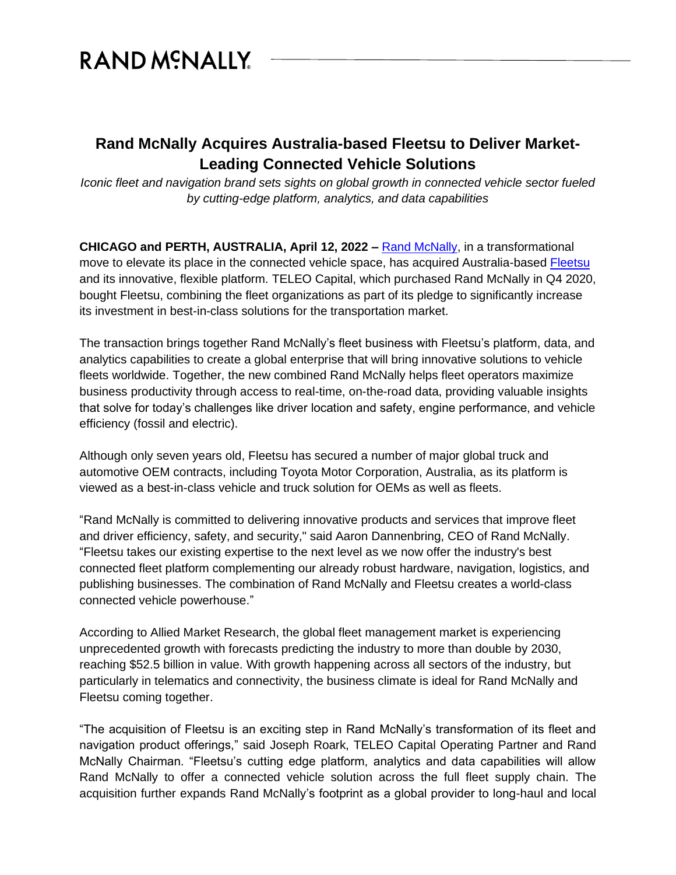## RAND MCNALLY

## **Rand McNally Acquires Australia-based Fleetsu to Deliver Market-Leading Connected Vehicle Solutions**

*Iconic fleet and navigation brand sets sights on global growth in connected vehicle sector fueled by cutting-edge platform, analytics, and data capabilities*

**CHICAGO and PERTH, AUSTRALIA, April 12, 2022 –** [Rand McNally,](https://www.randmcnally.com/?utm_source=pr&utm_medium=referral&utm_campaign=fleetsuannouncement) in a transformational move to elevate its place in the connected vehicle space, has acquired Australia-based [Fleetsu](https://fleetsu.com/?utm_source=pr&utm_medium=referral&utm_campaign=fleetsuannouncement) and its innovative, flexible platform. TELEO Capital, which purchased Rand McNally in Q4 2020, bought Fleetsu, combining the fleet organizations as part of its pledge to significantly increase its investment in best-in-class solutions for the transportation market.

The transaction brings together Rand McNally's fleet business with Fleetsu's platform, data, and analytics capabilities to create a global enterprise that will bring innovative solutions to vehicle fleets worldwide. Together, the new combined Rand McNally helps fleet operators maximize business productivity through access to real-time, on-the-road data, providing valuable insights that solve for today's challenges like driver location and safety, engine performance, and vehicle efficiency (fossil and electric).

Although only seven years old, Fleetsu has secured a number of major global truck and automotive OEM contracts, including Toyota Motor Corporation, Australia, as its platform is viewed as a best-in-class vehicle and truck solution for OEMs as well as fleets.

"Rand McNally is committed to delivering innovative products and services that improve fleet and driver efficiency, safety, and security," said Aaron Dannenbring, CEO of Rand McNally. "Fleetsu takes our existing expertise to the next level as we now offer the industry's best connected fleet platform complementing our already robust hardware, navigation, logistics, and publishing businesses. The combination of Rand McNally and Fleetsu creates a world-class connected vehicle powerhouse."

According to Allied Market Research, the global fleet management market is experiencing unprecedented growth with forecasts predicting the industry to more than double by 2030, reaching \$52.5 billion in value. With growth happening across all sectors of the industry, but particularly in telematics and connectivity, the business climate is ideal for Rand McNally and Fleetsu coming together.

"The acquisition of Fleetsu is an exciting step in Rand McNally's transformation of its fleet and navigation product offerings," said Joseph Roark, TELEO Capital Operating Partner and Rand McNally Chairman. "Fleetsu's cutting edge platform, analytics and data capabilities will allow Rand McNally to offer a connected vehicle solution across the full fleet supply chain. The acquisition further expands Rand McNally's footprint as a global provider to long-haul and local